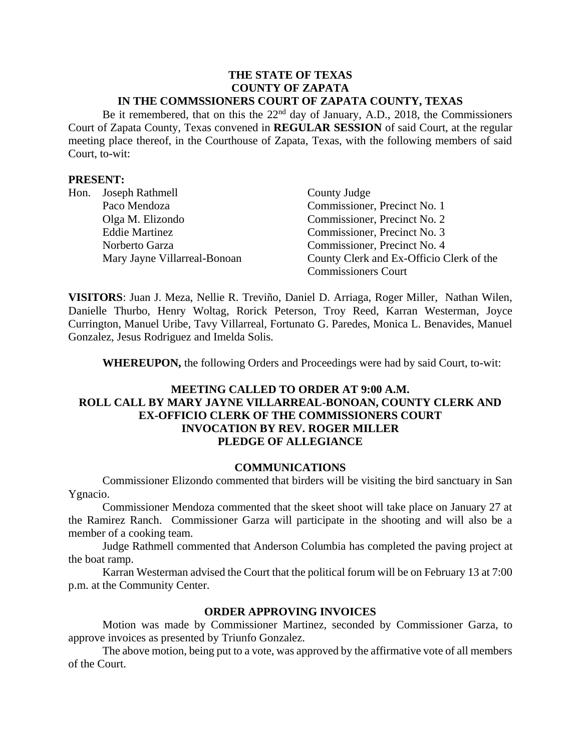#### **THE STATE OF TEXAS COUNTY OF ZAPATA IN THE COMMSSIONERS COURT OF ZAPATA COUNTY, TEXAS**

Be it remembered, that on this the 22<sup>nd</sup> day of January, A.D., 2018, the Commissioners Court of Zapata County, Texas convened in **REGULAR SESSION** of said Court, at the regular meeting place thereof, in the Courthouse of Zapata, Texas, with the following members of said Court, to-wit:

### **PRESENT:**

| Hon. | Joseph Rathmell              | County Judge                             |
|------|------------------------------|------------------------------------------|
|      | Paco Mendoza                 | Commissioner, Precinct No. 1             |
|      | Olga M. Elizondo             | Commissioner, Precinct No. 2             |
|      | <b>Eddie Martinez</b>        | Commissioner, Precinct No. 3             |
|      | Norberto Garza               | Commissioner, Precinct No. 4             |
|      | Mary Jayne Villarreal-Bonoan | County Clerk and Ex-Officio Clerk of the |
|      |                              | <b>Commissioners Court</b>               |

**VISITORS**: Juan J. Meza, Nellie R. Treviño, Daniel D. Arriaga, Roger Miller, Nathan Wilen, Danielle Thurbo, Henry Woltag, Rorick Peterson, Troy Reed, Karran Westerman, Joyce Currington, Manuel Uribe, Tavy Villarreal, Fortunato G. Paredes, Monica L. Benavides, Manuel Gonzalez, Jesus Rodriguez and Imelda Solis.

**WHEREUPON,** the following Orders and Proceedings were had by said Court, to-wit:

## **MEETING CALLED TO ORDER AT 9:00 A.M. ROLL CALL BY MARY JAYNE VILLARREAL-BONOAN, COUNTY CLERK AND EX-OFFICIO CLERK OF THE COMMISSIONERS COURT INVOCATION BY REV. ROGER MILLER PLEDGE OF ALLEGIANCE**

#### **COMMUNICATIONS**

Commissioner Elizondo commented that birders will be visiting the bird sanctuary in San Ygnacio.

Commissioner Mendoza commented that the skeet shoot will take place on January 27 at the Ramirez Ranch. Commissioner Garza will participate in the shooting and will also be a member of a cooking team.

Judge Rathmell commented that Anderson Columbia has completed the paving project at the boat ramp.

Karran Westerman advised the Court that the political forum will be on February 13 at 7:00 p.m. at the Community Center.

### **ORDER APPROVING INVOICES**

Motion was made by Commissioner Martinez, seconded by Commissioner Garza, to approve invoices as presented by Triunfo Gonzalez.

The above motion, being put to a vote, was approved by the affirmative vote of all members of the Court.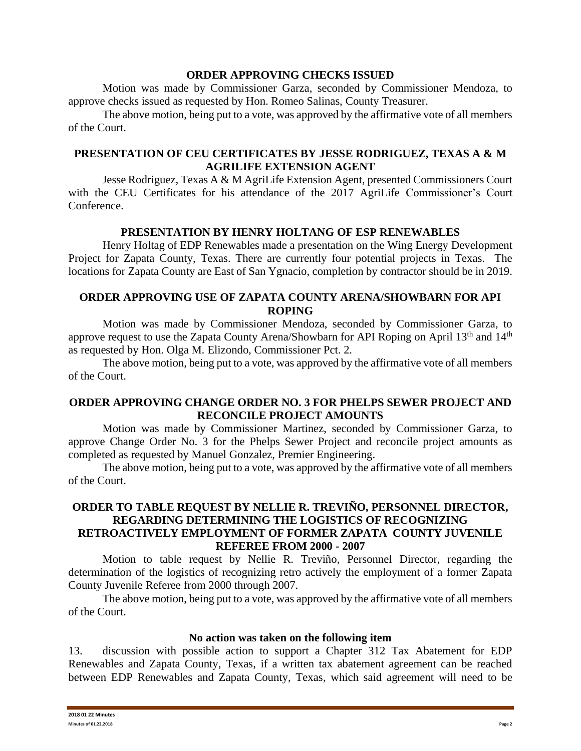### **ORDER APPROVING CHECKS ISSUED**

Motion was made by Commissioner Garza, seconded by Commissioner Mendoza, to approve checks issued as requested by Hon. Romeo Salinas, County Treasurer.

The above motion, being put to a vote, was approved by the affirmative vote of all members of the Court.

# **PRESENTATION OF CEU CERTIFICATES BY JESSE RODRIGUEZ, TEXAS A & M AGRILIFE EXTENSION AGENT**

Jesse Rodriguez, Texas A & M AgriLife Extension Agent, presented Commissioners Court with the CEU Certificates for his attendance of the 2017 AgriLife Commissioner's Court Conference.

# **PRESENTATION BY HENRY HOLTANG OF ESP RENEWABLES**

Henry Holtag of EDP Renewables made a presentation on the Wing Energy Development Project for Zapata County, Texas. There are currently four potential projects in Texas. The locations for Zapata County are East of San Ygnacio, completion by contractor should be in 2019.

## **ORDER APPROVING USE OF ZAPATA COUNTY ARENA/SHOWBARN FOR API ROPING**

Motion was made by Commissioner Mendoza, seconded by Commissioner Garza, to approve request to use the Zapata County Arena/Showbarn for API Roping on April 13<sup>th</sup> and 14<sup>th</sup> as requested by Hon. Olga M. Elizondo, Commissioner Pct. 2.

The above motion, being put to a vote, was approved by the affirmative vote of all members of the Court.

# **ORDER APPROVING CHANGE ORDER NO. 3 FOR PHELPS SEWER PROJECT AND RECONCILE PROJECT AMOUNTS**

Motion was made by Commissioner Martinez, seconded by Commissioner Garza, to approve Change Order No. 3 for the Phelps Sewer Project and reconcile project amounts as completed as requested by Manuel Gonzalez, Premier Engineering.

The above motion, being put to a vote, was approved by the affirmative vote of all members of the Court.

## **ORDER TO TABLE REQUEST BY NELLIE R. TREVIÑO, PERSONNEL DIRECTOR, REGARDING DETERMINING THE LOGISTICS OF RECOGNIZING RETROACTIVELY EMPLOYMENT OF FORMER ZAPATA COUNTY JUVENILE REFEREE FROM 2000 - 2007**

Motion to table request by Nellie R. Treviño, Personnel Director, regarding the determination of the logistics of recognizing retro actively the employment of a former Zapata County Juvenile Referee from 2000 through 2007.

The above motion, being put to a vote, was approved by the affirmative vote of all members of the Court.

### **No action was taken on the following item**

13. discussion with possible action to support a Chapter 312 Tax Abatement for EDP Renewables and Zapata County, Texas, if a written tax abatement agreement can be reached between EDP Renewables and Zapata County, Texas, which said agreement will need to be